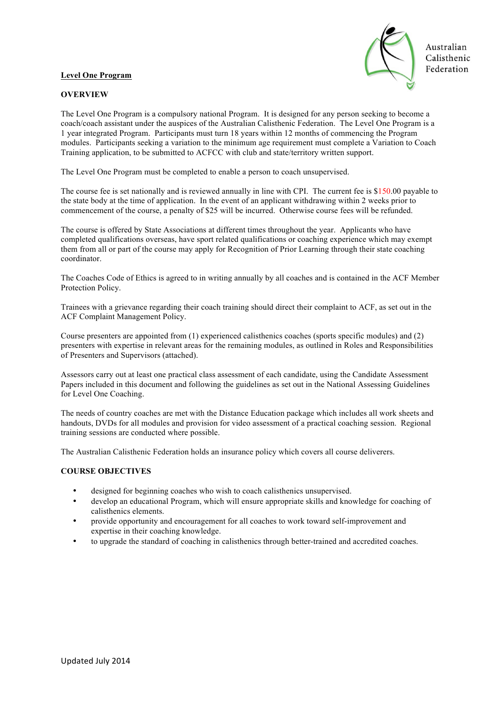## **Level One Program**



## **OVERVIEW**

The Level One Program is a compulsory national Program. It is designed for any person seeking to become a coach/coach assistant under the auspices of the Australian Calisthenic Federation. The Level One Program is a 1 year integrated Program. Participants must turn 18 years within 12 months of commencing the Program modules. Participants seeking a variation to the minimum age requirement must complete a Variation to Coach Training application, to be submitted to ACFCC with club and state/territory written support.

The Level One Program must be completed to enable a person to coach unsupervised.

The course fee is set nationally and is reviewed annually in line with CPI. The current fee is \$150.00 payable to the state body at the time of application. In the event of an applicant withdrawing within 2 weeks prior to commencement of the course, a penalty of \$25 will be incurred. Otherwise course fees will be refunded.

The course is offered by State Associations at different times throughout the year. Applicants who have completed qualifications overseas, have sport related qualifications or coaching experience which may exempt them from all or part of the course may apply for Recognition of Prior Learning through their state coaching coordinator.

The Coaches Code of Ethics is agreed to in writing annually by all coaches and is contained in the ACF Member Protection Policy.

Trainees with a grievance regarding their coach training should direct their complaint to ACF, as set out in the ACF Complaint Management Policy.

Course presenters are appointed from (1) experienced calisthenics coaches (sports specific modules) and (2) presenters with expertise in relevant areas for the remaining modules, as outlined in Roles and Responsibilities of Presenters and Supervisors (attached).

Assessors carry out at least one practical class assessment of each candidate, using the Candidate Assessment Papers included in this document and following the guidelines as set out in the National Assessing Guidelines for Level One Coaching.

The needs of country coaches are met with the Distance Education package which includes all work sheets and handouts, DVDs for all modules and provision for video assessment of a practical coaching session. Regional training sessions are conducted where possible.

The Australian Calisthenic Federation holds an insurance policy which covers all course deliverers.

### **COURSE OBJECTIVES**

- designed for beginning coaches who wish to coach calisthenics unsupervised.
- develop an educational Program, which will ensure appropriate skills and knowledge for coaching of calisthenics elements.
- provide opportunity and encouragement for all coaches to work toward self-improvement and expertise in their coaching knowledge.
- to upgrade the standard of coaching in calisthenics through better-trained and accredited coaches.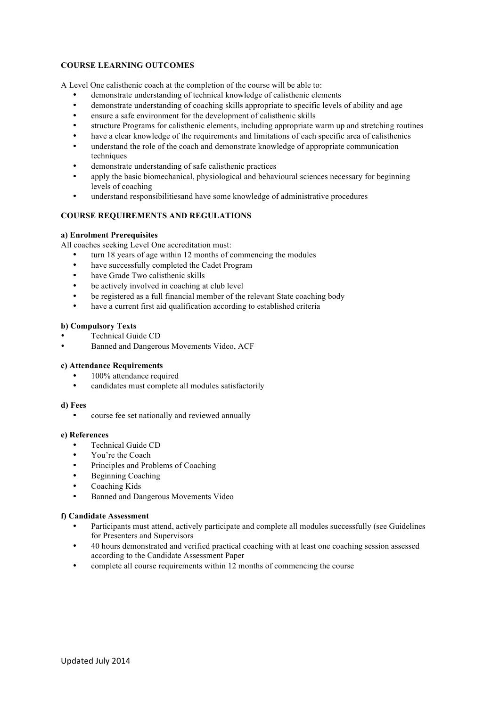# **COURSE LEARNING OUTCOMES**

A Level One calisthenic coach at the completion of the course will be able to:

- demonstrate understanding of technical knowledge of calisthenic elements
- demonstrate understanding of coaching skills appropriate to specific levels of ability and age
- ensure a safe environment for the development of calisthenic skills
- structure Programs for calisthenic elements, including appropriate warm up and stretching routines
- have a clear knowledge of the requirements and limitations of each specific area of calisthenics
- understand the role of the coach and demonstrate knowledge of appropriate communication techniques
- demonstrate understanding of safe calisthenic practices
- apply the basic biomechanical, physiological and behavioural sciences necessary for beginning levels of coaching
- understand responsibilitiesand have some knowledge of administrative procedures

# **COURSE REQUIREMENTS AND REGULATIONS**

## **a) Enrolment Prerequisites**

All coaches seeking Level One accreditation must:

- turn 18 years of age within 12 months of commencing the modules
- have successfully completed the Cadet Program
- have Grade Two calisthenic skills
- be actively involved in coaching at club level
- be registered as a full financial member of the relevant State coaching body
- have a current first aid qualification according to established criteria

### **b) Compulsory Texts**

- Technical Guide CD
- Banned and Dangerous Movements Video, ACF

### **c) Attendance Requirements**

- 100% attendance required
- candidates must complete all modules satisfactorily

### **d) Fees**

• course fee set nationally and reviewed annually

# **e) References**

- Technical Guide CD
- You're the Coach
- Principles and Problems of Coaching
- Beginning Coaching
- Coaching Kids
- Banned and Dangerous Movements Video

### **f) Candidate Assessment**

- Participants must attend, actively participate and complete all modules successfully (see Guidelines for Presenters and Supervisors
- 40 hours demonstrated and verified practical coaching with at least one coaching session assessed according to the Candidate Assessment Paper
- complete all course requirements within 12 months of commencing the course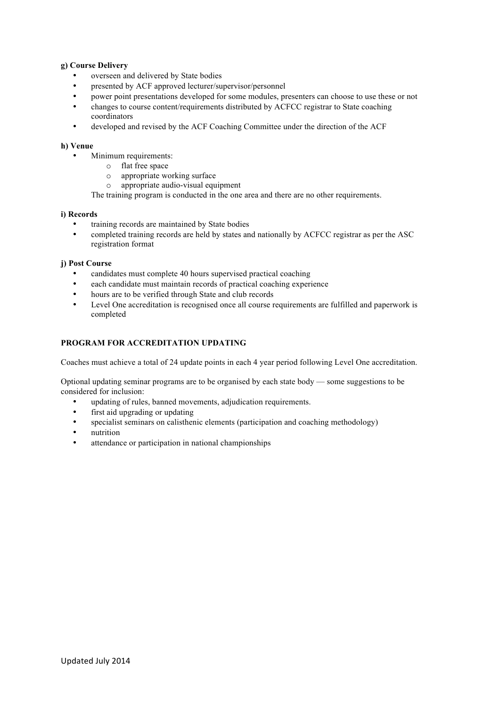## **g) Course Delivery**

- overseen and delivered by State bodies
- presented by ACF approved lecturer/supervisor/personnel
- power point presentations developed for some modules, presenters can choose to use these or not
- changes to course content/requirements distributed by ACFCC registrar to State coaching coordinators
- developed and revised by the ACF Coaching Committee under the direction of the ACF

## **h) Venue**

- Minimum requirements:
	- o flat free space
		- o appropriate working surface
		- o appropriate audio-visual equipment

The training program is conducted in the one area and there are no other requirements.

### **i) Records**

- training records are maintained by State bodies
- completed training records are held by states and nationally by ACFCC registrar as per the ASC registration format

### **j) Post Course**

- candidates must complete 40 hours supervised practical coaching
- each candidate must maintain records of practical coaching experience
- hours are to be verified through State and club records
- Level One accreditation is recognised once all course requirements are fulfilled and paperwork is completed

# **PROGRAM FOR ACCREDITATION UPDATING**

Coaches must achieve a total of 24 update points in each 4 year period following Level One accreditation.

Optional updating seminar programs are to be organised by each state body — some suggestions to be considered for inclusion:

- updating of rules, banned movements, adjudication requirements.
- first aid upgrading or updating
- specialist seminars on calisthenic elements (participation and coaching methodology)
- nutrition
- attendance or participation in national championships